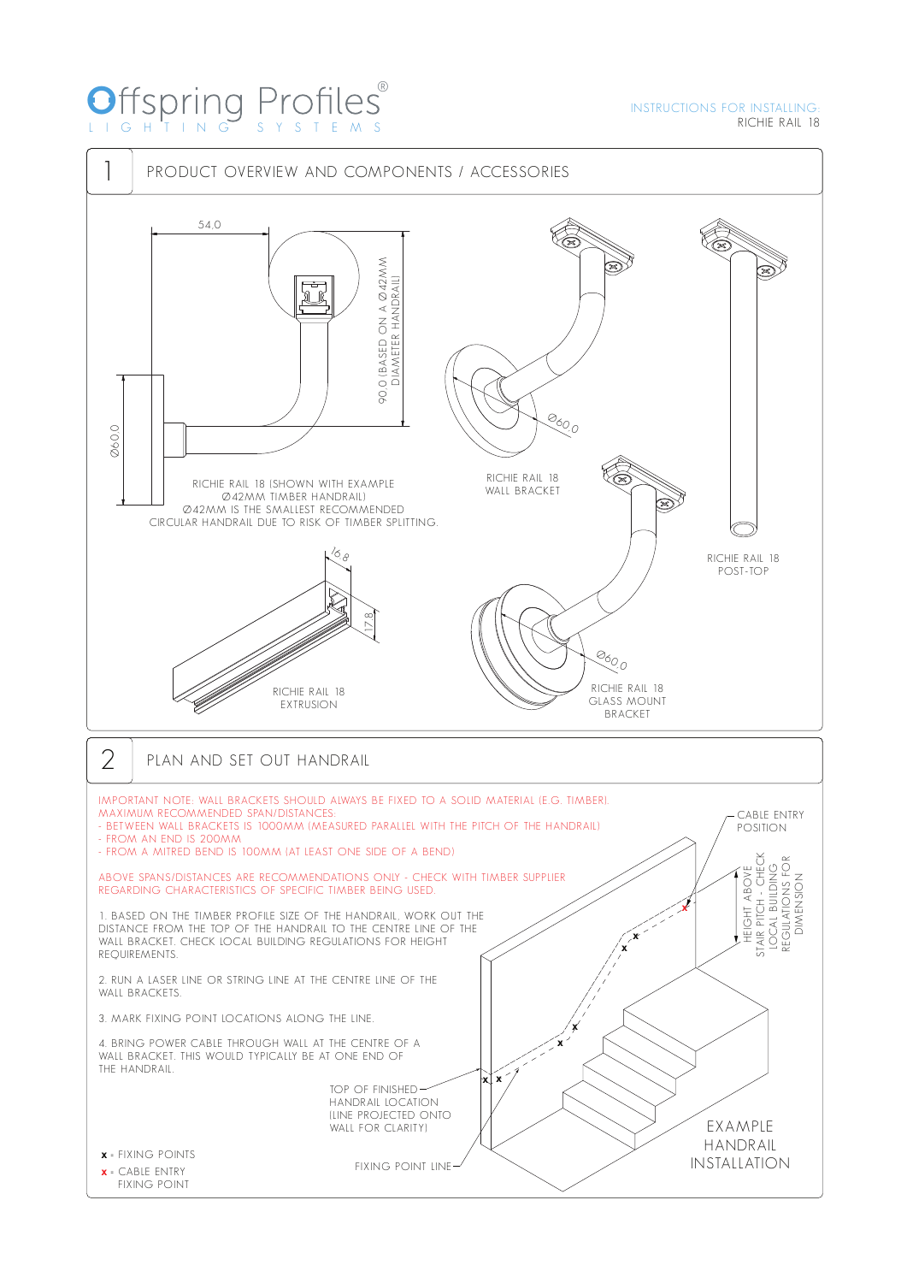# Offspring Profiles® LIG HTI N G S Y S TEM S

### INSTRUCTIONS FOR INSTALLING: RICHIE RAIL 18

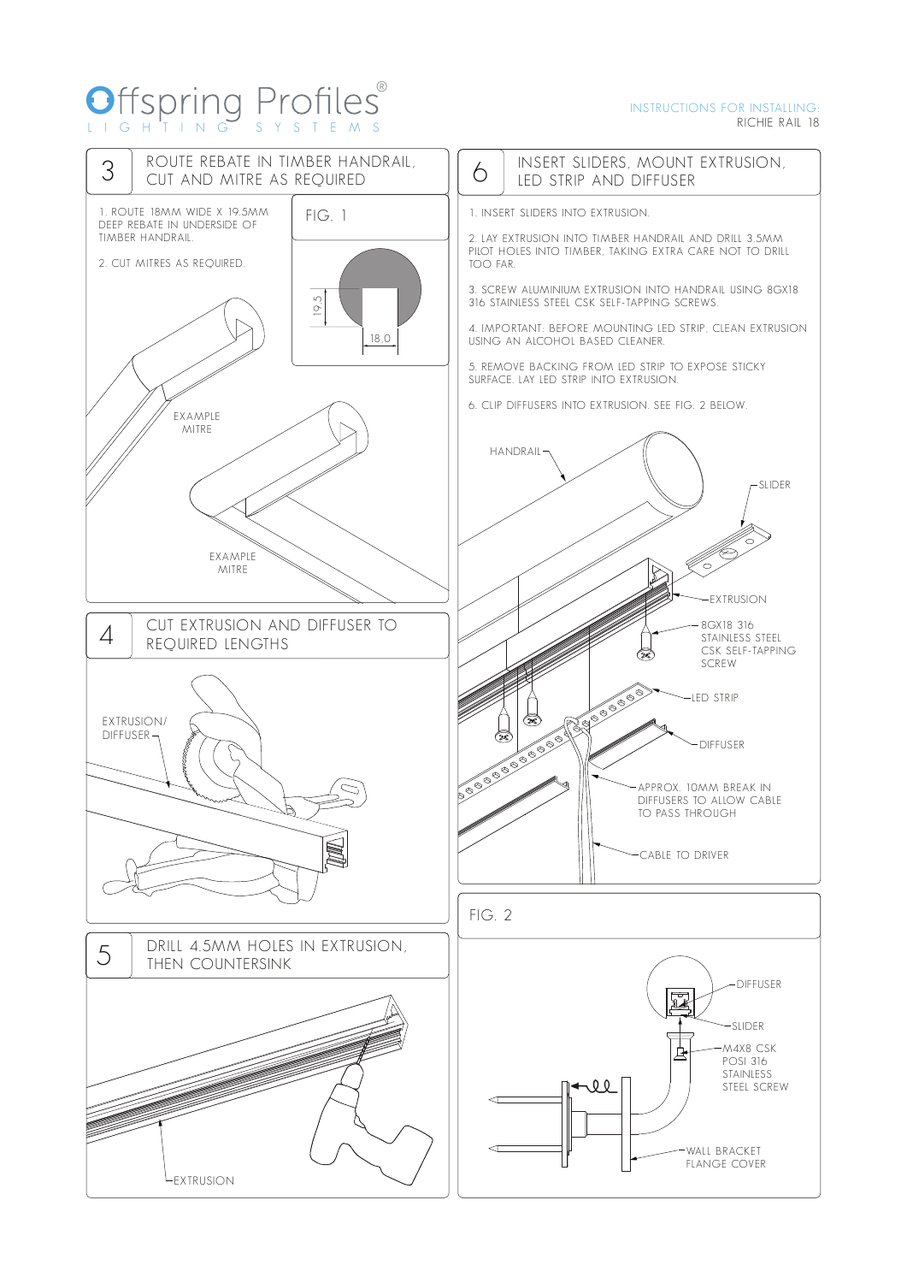## O LIG HTI N G S Y S TEM S ®

#### INSTRUCTIONS FOR INSTALLING: RICHIE RAIL 18

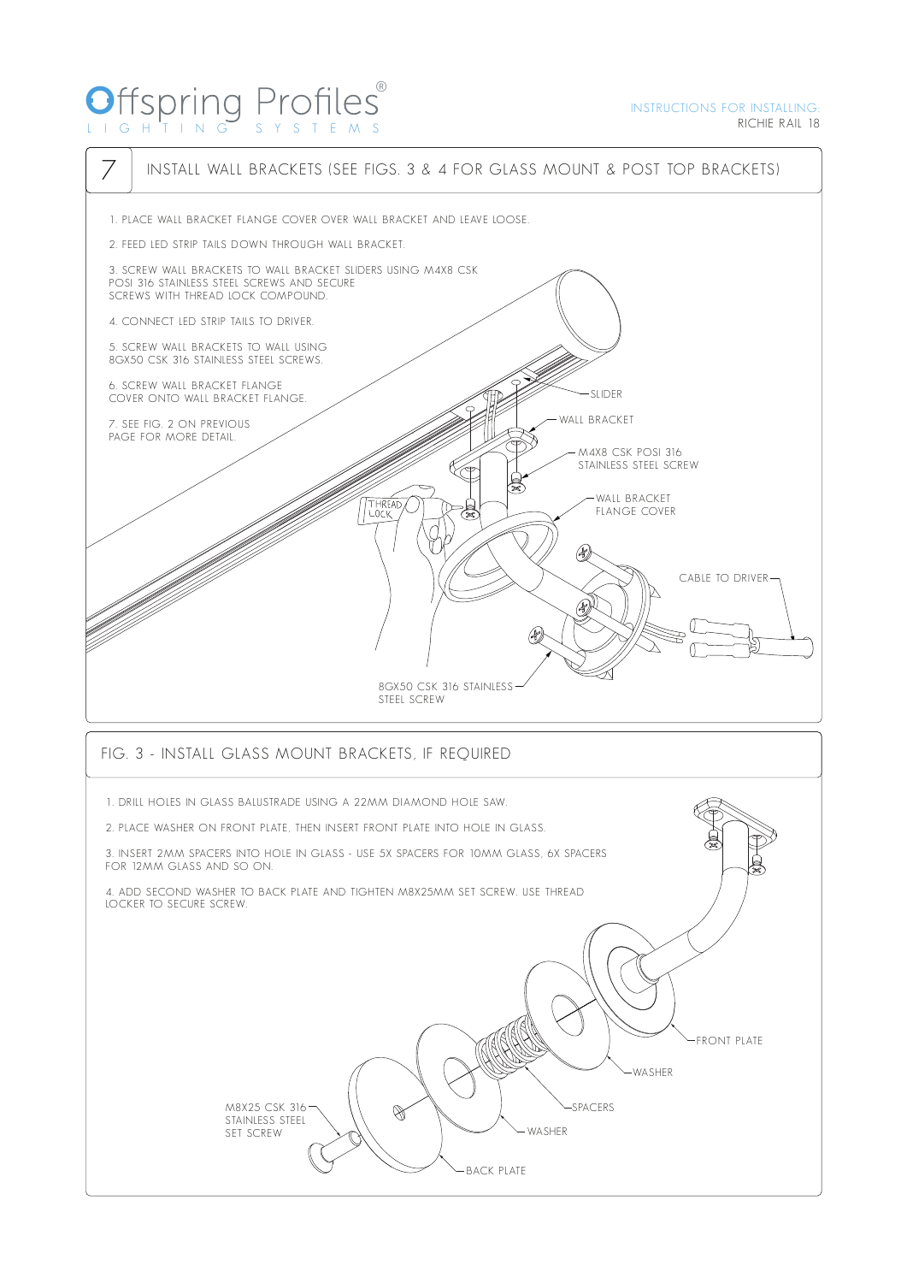## O LIG HTI N G S Y S TEM S ®

FRONT PLATE

WASHER

SPACERS

WASHER

BACK PLATE



M8X25 CSK 316  $\mathscr{B}$ STAINLESS STEEL SET SCREW